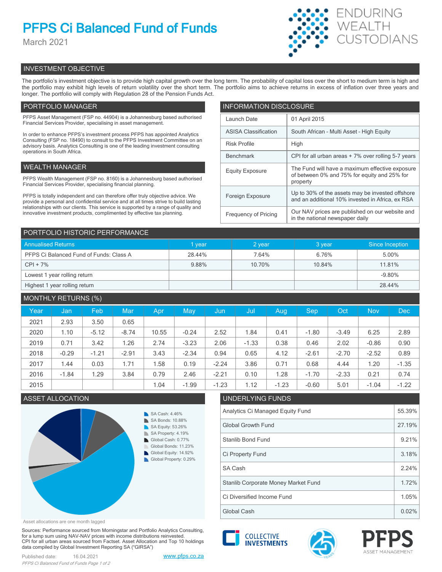# **PFPS Ci Balanced Fund of Funds**

March 2021



## INVESTMENT OBJECTIVE

The portfolio's investment objective is to provide high capital growth over the long term. The probability of capital loss over the short to medium term is high and the portfolio may exhibit high levels of return volatility over the short term. The portfolio aims to achieve returns in excess of inflation over three years and longer. The portfolio will comply with Regulation 28 of the Pension Funds Act.

## PORTFOLIO MANAGER

PFPS Asset Management (FSP no. 44904) is a Johannesburg based authorised Financial Services Provider, specialising in asset management.

In order to enhance PFPS's investment process PFPS has appointed Analytics Consulting (FSP no. 18490) to consult to the PFPS Investment Committee on an advisory basis. Analytics Consulting is one of the leading investment consulting operations in South Africa.

## WEALTH MANAGER

PFPS Wealth Management (FSP no. 8160) is a Johannesburg based authorised Financial Services Provider, specialising financial planning.

PFPS is totally independent and can therefore offer truly objective advice. We provide a personal and confidential service and at all times strive to build lasting relationships with our clients. This service is supported by a range of quality and innovative investment products, complimented by effective tax planning.

| <b>INFORMATION DISCLOSURE</b> |                                                                                                             |  |  |  |
|-------------------------------|-------------------------------------------------------------------------------------------------------------|--|--|--|
| Launch Date                   | 01 April 2015                                                                                               |  |  |  |
| <b>ASISA Classification</b>   | South African - Multi Asset - High Equity                                                                   |  |  |  |
| <b>Risk Profile</b>           | High                                                                                                        |  |  |  |
| <b>Benchmark</b>              | CPI for all urban areas + 7% over rolling 5-7 years                                                         |  |  |  |
| Equity Exposure               | The Fund will have a maximum effective exposure<br>of between 0% and 75% for equity and 25% for<br>property |  |  |  |
| Foreign Exposure              | Up to 30% of the assets may be invested offshore<br>and an additional 10% invested in Africa, ex RSA        |  |  |  |
| <b>Frequency of Pricing</b>   | Our NAV prices are published on our website and<br>in the national newspaper daily                          |  |  |  |

| PORTFOLIO HISTORIC PERFORMANCE          |        |        |        |                 |  |  |
|-----------------------------------------|--------|--------|--------|-----------------|--|--|
| <b>Annualised Returns</b>               | vear   | 2 year | 3 year | Since Inception |  |  |
| PFPS Ci Balanced Fund of Funds: Class A | 28.44% | 7.64%  | 6.76%  | 5.00%           |  |  |
| $CPI + 7\%$                             | 9.88%  | 10.70% | 10.84% | 11.81%          |  |  |
| Lowest 1 year rolling return            |        |        |        | $-9.80%$        |  |  |
| Highest 1 year rolling return           |        |        |        | 28.44%          |  |  |

## MONTHLY RETURNS (%) Year | Jan | Feb | Mar | Apr | May | Jun | Jul | Aug | Sep | Oct | Nov | Dec 2021 | 2.93 | 3.50 | 0.65 2020 | 1.10 | -5.12 | -8.74 | 10.55 | -0.24 | 2.52 | 1.84 | 0.41 | -1.80 | -3.49 | 6.25 | 2.89 2019 0.71 3.42 1.26 2.74 -3.23 2.06 -1.33 0.38 0.46 2.02 -0.86 0.90 2018 | -0.29 | -1.21 | -2.91 | 3.43 | -2.34 | 0.94 | 0.65 | 4.12 | -2.61 | -2.70 | -2.52 | 0.89 2017 | 1.44 | 0.03 | 1.71 | 1.58 | 0.19 | -2.24 | 3.86 | 0.71 | 0.68 | 4.44 | 1.20 | -1.35 2016 | -1.84 | 1.29 | 3.84 | 0.79 | 2.46 | -2.21 | 0.10 | 1.28 | -1.70 | -2.33 | 0.21 | 0.74 2015 1.04 -1.99 -1.23 1.12 -1.23 -0.60 5.01 -1.04 -1.22

## ASSET ALLOCATION UNDERLYING FUNDS



Asset allocations are one month lagged

Sources: Performance sourced from Morningstar and Portfolio Analytics Consulting, for a lump sum using NAV-NAV prices with income distributions reinvested. CPI for all urban areas sourced from Factset. Asset Allocation and Top 10 holdings data compiled by Global Investment Reporting SA ("GIRSA")

| Published date: | 16.04.2021                                 |
|-----------------|--------------------------------------------|
|                 | PFPS Ci Balanced Fund of Funds Page 1 of 2 |



## Analytics Ci Managed Equity Fund 55.39% Global Growth Fund 27.19% Stanlib Bond Fund 9.21% SA Cash 2.24% Ci Property Fund 3.18% Ci Diversified Income Fund 1.05% Stanlib Corporate Money Market Fund 1.72%

Global Cash  $\vert$  0.02%